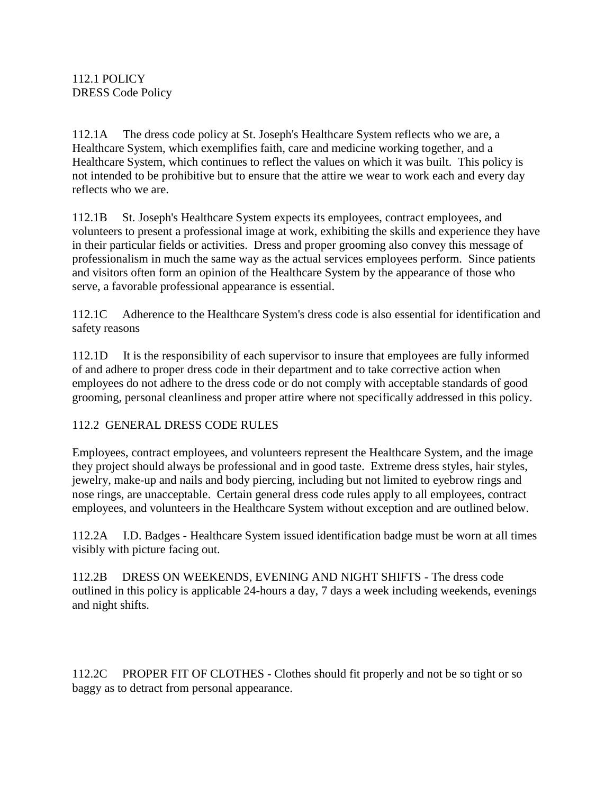112.1A The dress code policy at St. Joseph's Healthcare System reflects who we are, a Healthcare System, which exemplifies faith, care and medicine working together, and a Healthcare System, which continues to reflect the values on which it was built. This policy is not intended to be prohibitive but to ensure that the attire we wear to work each and every day reflects who we are.

112.1B St. Joseph's Healthcare System expects its employees, contract employees, and volunteers to present a professional image at work, exhibiting the skills and experience they have in their particular fields or activities. Dress and proper grooming also convey this message of professionalism in much the same way as the actual services employees perform. Since patients and visitors often form an opinion of the Healthcare System by the appearance of those who serve, a favorable professional appearance is essential.

112.1C Adherence to the Healthcare System's dress code is also essential for identification and safety reasons

112.1D It is the responsibility of each supervisor to insure that employees are fully informed of and adhere to proper dress code in their department and to take corrective action when employees do not adhere to the dress code or do not comply with acceptable standards of good grooming, personal cleanliness and proper attire where not specifically addressed in this policy.

## 112.2 GENERAL DRESS CODE RULES

Employees, contract employees, and volunteers represent the Healthcare System, and the image they project should always be professional and in good taste. Extreme dress styles, hair styles, jewelry, make-up and nails and body piercing, including but not limited to eyebrow rings and nose rings, are unacceptable. Certain general dress code rules apply to all employees, contract employees, and volunteers in the Healthcare System without exception and are outlined below.

112.2A I.D. Badges - Healthcare System issued identification badge must be worn at all times visibly with picture facing out.

112.2B DRESS ON WEEKENDS, EVENING AND NIGHT SHIFTS - The dress code outlined in this policy is applicable 24-hours a day, 7 days a week including weekends, evenings and night shifts.

112.2C PROPER FIT OF CLOTHES - Clothes should fit properly and not be so tight or so baggy as to detract from personal appearance.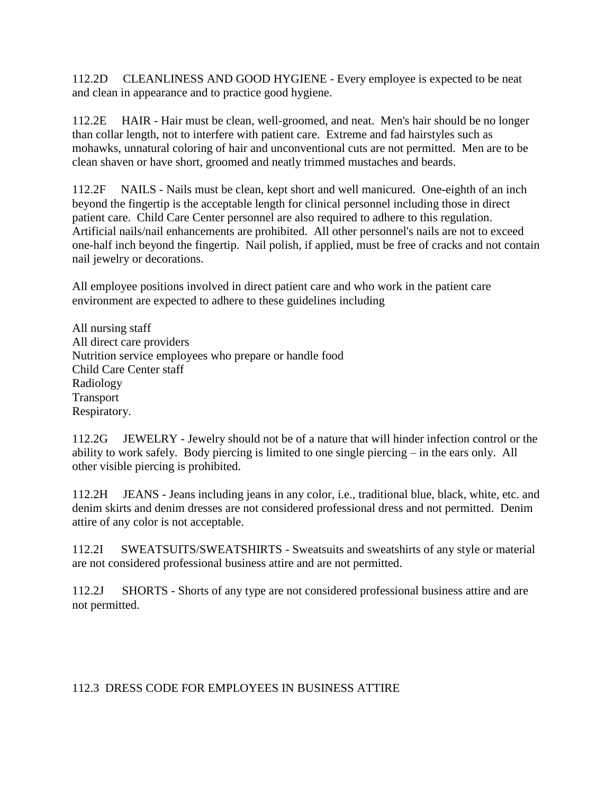112.2D CLEANLINESS AND GOOD HYGIENE - Every employee is expected to be neat and clean in appearance and to practice good hygiene.

112.2E HAIR - Hair must be clean, well-groomed, and neat. Men's hair should be no longer than collar length, not to interfere with patient care. Extreme and fad hairstyles such as mohawks, unnatural coloring of hair and unconventional cuts are not permitted. Men are to be clean shaven or have short, groomed and neatly trimmed mustaches and beards.

112.2F NAILS - Nails must be clean, kept short and well manicured. One-eighth of an inch beyond the fingertip is the acceptable length for clinical personnel including those in direct patient care. Child Care Center personnel are also required to adhere to this regulation. Artificial nails/nail enhancements are prohibited. All other personnel's nails are not to exceed one-half inch beyond the fingertip. Nail polish, if applied, must be free of cracks and not contain nail jewelry or decorations.

All employee positions involved in direct patient care and who work in the patient care environment are expected to adhere to these guidelines including

All nursing staff All direct care providers Nutrition service employees who prepare or handle food Child Care Center staff Radiology Transport Respiratory.

112.2G JEWELRY - Jewelry should not be of a nature that will hinder infection control or the ability to work safely. Body piercing is limited to one single piercing – in the ears only. All other visible piercing is prohibited.

112.2H JEANS - Jeans including jeans in any color, i.e., traditional blue, black, white, etc. and denim skirts and denim dresses are not considered professional dress and not permitted. Denim attire of any color is not acceptable.

112.2I SWEATSUITS/SWEATSHIRTS - Sweatsuits and sweatshirts of any style or material are not considered professional business attire and are not permitted.

112.2J SHORTS - Shorts of any type are not considered professional business attire and are not permitted.

## 112.3 DRESS CODE FOR EMPLOYEES IN BUSINESS ATTIRE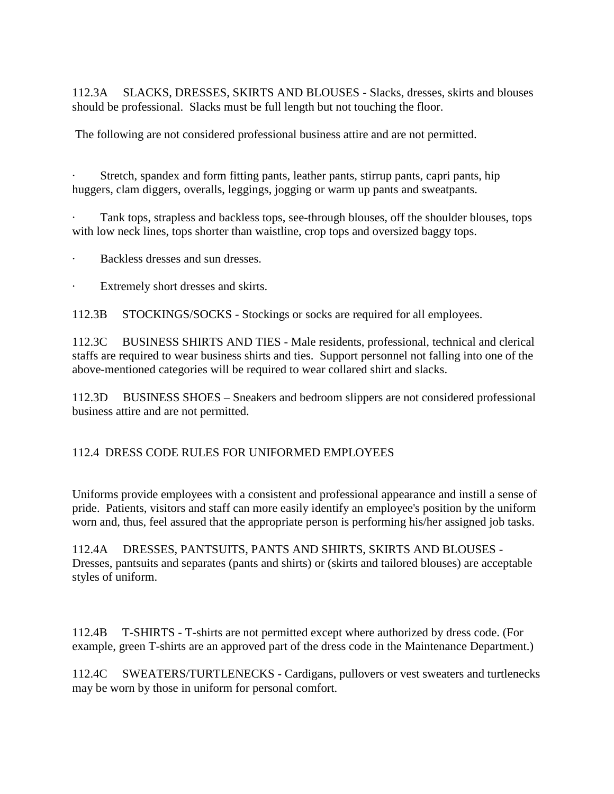112.3A SLACKS, DRESSES, SKIRTS AND BLOUSES - Slacks, dresses, skirts and blouses should be professional. Slacks must be full length but not touching the floor.

The following are not considered professional business attire and are not permitted.

Stretch, spandex and form fitting pants, leather pants, stirrup pants, capri pants, hip huggers, clam diggers, overalls, leggings, jogging or warm up pants and sweatpants.

Tank tops, strapless and backless tops, see-through blouses, off the shoulder blouses, tops with low neck lines, tops shorter than waistline, crop tops and oversized baggy tops.

Backless dresses and sun dresses.

· Extremely short dresses and skirts.

112.3B STOCKINGS/SOCKS - Stockings or socks are required for all employees.

112.3C BUSINESS SHIRTS AND TIES - Male residents, professional, technical and clerical staffs are required to wear business shirts and ties. Support personnel not falling into one of the above-mentioned categories will be required to wear collared shirt and slacks.

112.3D BUSINESS SHOES – Sneakers and bedroom slippers are not considered professional business attire and are not permitted.

## 112.4 DRESS CODE RULES FOR UNIFORMED EMPLOYEES

Uniforms provide employees with a consistent and professional appearance and instill a sense of pride. Patients, visitors and staff can more easily identify an employee's position by the uniform worn and, thus, feel assured that the appropriate person is performing his/her assigned job tasks.

112.4A DRESSES, PANTSUITS, PANTS AND SHIRTS, SKIRTS AND BLOUSES - Dresses, pantsuits and separates (pants and shirts) or (skirts and tailored blouses) are acceptable styles of uniform.

112.4B T-SHIRTS - T-shirts are not permitted except where authorized by dress code. (For example, green T-shirts are an approved part of the dress code in the Maintenance Department.)

112.4C SWEATERS/TURTLENECKS - Cardigans, pullovers or vest sweaters and turtlenecks may be worn by those in uniform for personal comfort.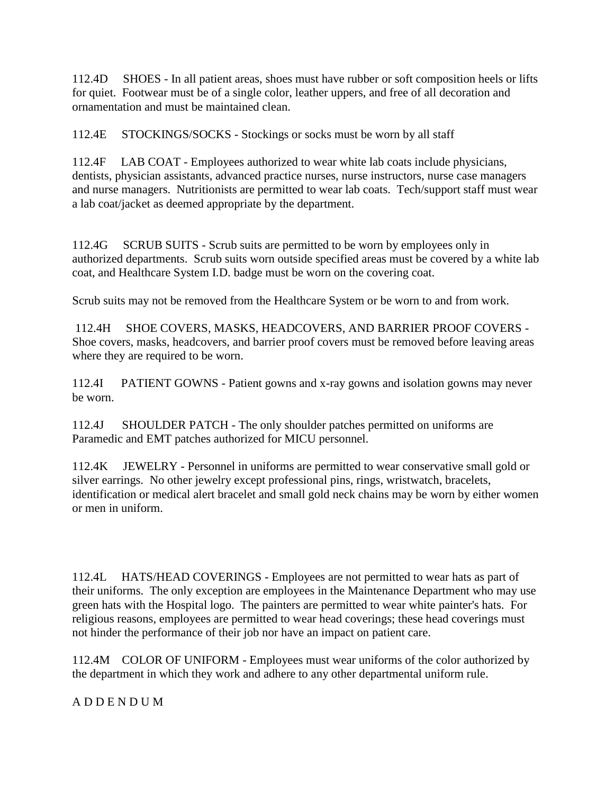112.4D SHOES - In all patient areas, shoes must have rubber or soft composition heels or lifts for quiet. Footwear must be of a single color, leather uppers, and free of all decoration and ornamentation and must be maintained clean.

112.4E STOCKINGS/SOCKS - Stockings or socks must be worn by all staff

112.4F LAB COAT - Employees authorized to wear white lab coats include physicians, dentists, physician assistants, advanced practice nurses, nurse instructors, nurse case managers and nurse managers. Nutritionists are permitted to wear lab coats. Tech/support staff must wear a lab coat/jacket as deemed appropriate by the department.

112.4G SCRUB SUITS - Scrub suits are permitted to be worn by employees only in authorized departments. Scrub suits worn outside specified areas must be covered by a white lab coat, and Healthcare System I.D. badge must be worn on the covering coat.

Scrub suits may not be removed from the Healthcare System or be worn to and from work.

112.4H SHOE COVERS, MASKS, HEADCOVERS, AND BARRIER PROOF COVERS - Shoe covers, masks, headcovers, and barrier proof covers must be removed before leaving areas where they are required to be worn.

112.4I PATIENT GOWNS - Patient gowns and x-ray gowns and isolation gowns may never be worn.

112.4J SHOULDER PATCH - The only shoulder patches permitted on uniforms are Paramedic and EMT patches authorized for MICU personnel.

112.4K JEWELRY - Personnel in uniforms are permitted to wear conservative small gold or silver earrings. No other jewelry except professional pins, rings, wristwatch, bracelets, identification or medical alert bracelet and small gold neck chains may be worn by either women or men in uniform.

112.4L HATS/HEAD COVERINGS - Employees are not permitted to wear hats as part of their uniforms. The only exception are employees in the Maintenance Department who may use green hats with the Hospital logo. The painters are permitted to wear white painter's hats. For religious reasons, employees are permitted to wear head coverings; these head coverings must not hinder the performance of their job nor have an impact on patient care.

112.4M COLOR OF UNIFORM - Employees must wear uniforms of the color authorized by the department in which they work and adhere to any other departmental uniform rule.

A D D E N D U M